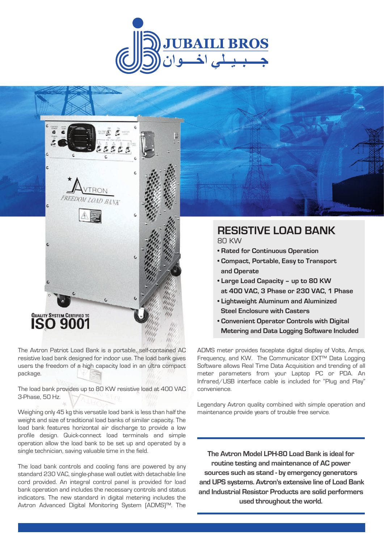



The Avtron Patriot Load Bank is a portable, self-contained AC resistive load bank designed for indoor use. The load bank gives users the freedom of a high capacity load in an ultra compact package.

The load bank provides up to 80 KW resistive load at 400 VAC 3-Phase, 50 Hz.

Weighing only 45 kg this versatile load bank is less than half the weight and size of traditional load banks of similar capacity. The load bank features horizontal air discharge to provide a low profile design. Quick-connect load terminals and simple operation allow the load bank to be set up and operated by a single technician, saving valuable time in the field.

The load bank controls and cooling fans are powered by any standard 230 VAC, single-phase wall outlet with detachable line cord provided. An integral control panel is provided for load bank operation and includes the necessary controls and status indicators. The new standard in digital metering includes the Avtron Advanced Digital Monitoring System (ADMS)™. The

# **RESISTIVE LOAD BANK**

80 KW

- **Rated for Continuous Operation**
- **Compact, Portable, Easy to Transport and Operate**
- **Large Load Capacity up to 80 KW at 400 VAC, 3 Phase or 230 VAC, 1 Phase**
- **Lightweight Aluminum and Aluminized Steel Enclosure with Casters**
- **Convenient Operator Controls with Digital Metering and Data Logging Software Included**

ADMS meter provides faceplate digital display of Volts, Amps, Frequency, and KW. The Communicator EXT™ Data Logging Software allows Real Time Data Acquisition and trending of all meter parameters from your Laptop PC or PDA. An Infrared/USB interface cable is included for "Plug and Play" convenience.

Legendary Avtron quality combined with simple operation and maintenance provide years of trouble free service.

**The Avtron Model LPH-80 Load Bank is ideal for routine testing and maintenance of AC power sources such as stand - by emergency generators and UPS systems. Avtron's extensive line of Load Bank and Industrial Resistor Products are solid performers used throughout the world.**